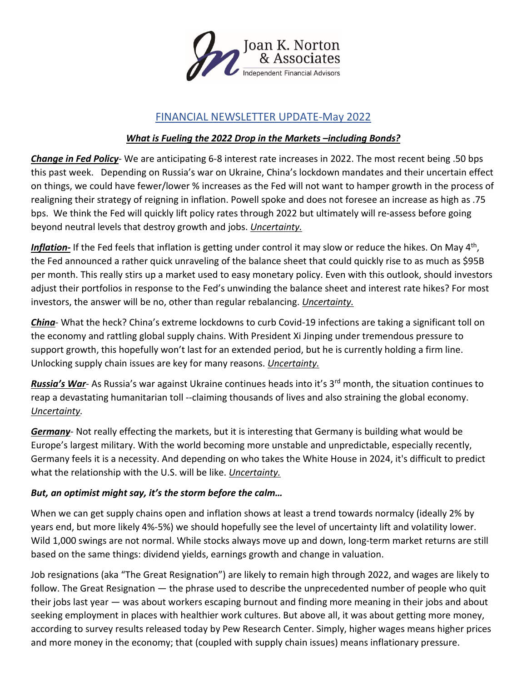

## FINANCIAL NEWSLETTER UPDATE-May 2022

## *What is Fueling the 2022 Drop in the Markets –including Bonds?*

*Change in Fed Policy*- We are anticipating 6-8 interest rate increases in 2022. The most recent being .50 bps this past week. Depending on Russia's war on Ukraine, China's lockdown mandates and their uncertain effect on things, we could have fewer/lower % increases as the Fed will not want to hamper growth in the process of realigning their strategy of reigning in inflation. Powell spoke and does not foresee an increase as high as .75 bps. We think the Fed will quickly lift policy rates through 2022 but ultimately will re-assess before going beyond neutral levels that destroy growth and jobs. *Uncertainty.*

Inflation-If the Fed feels that inflation is getting under control it may slow or reduce the hikes. On May 4<sup>th</sup>, the Fed announced a rather quick unraveling of the balance sheet that could quickly rise to as much as \$95B per month. This really stirs up a market used to easy monetary policy. Even with this outlook, should investors adjust their portfolios in response to the Fed's unwinding the balance sheet and interest rate hikes? For most investors, the answer will be no, other than regular rebalancing. *Uncertainty.*

*China*- What the heck? China's extreme lockdowns to curb Covid-19 infections are taking a significant toll on the economy and rattling global supply chains. With President Xi Jinping under tremendous pressure to support growth, this hopefully won't last for an extended period, but he is currently holding a firm line. Unlocking supply chain issues are key for many reasons. *Uncertainty.*

*Russia's War*- As Russia's war against Ukraine continues heads into it's 3<sup>rd</sup> month, the situation continues to reap a devastating humanitarian toll --claiming thousands of lives and also straining the global economy. *Uncertainty.*

*Germany*- Not really effecting the markets, but it is interesting that Germany is building what would be Europe's largest military. With the world becoming more unstable and unpredictable, especially recently, Germany feels it is a necessity. And depending on who takes the White House in 2024, it's difficult to predict what the relationship with the U.S. will be like. *Uncertainty.*

## *But, an optimist might say, it's the storm before the calm…*

When we can get supply chains open and inflation shows at least a trend towards normalcy (ideally 2% by years end, but more likely 4%-5%) we should hopefully see the level of uncertainty lift and volatility lower. Wild 1,000 swings are not normal. While stocks always move up and down, long-term market returns are still based on the same things: dividend yields, earnings growth and change in valuation.

Job resignations (aka "The Great Resignation") are likely to remain high through 2022, and wages are likely to follow. The Great Resignation — the phrase used to describe the unprecedented number of people who quit their jobs last year — was about workers escaping burnout and finding more meaning in their jobs and about seeking employment in places with healthier work cultures. But above all, it was about getting more money, according to survey results released today by Pew Research Center. Simply, higher wages means higher prices and more money in the economy; that (coupled with supply chain issues) means inflationary pressure.